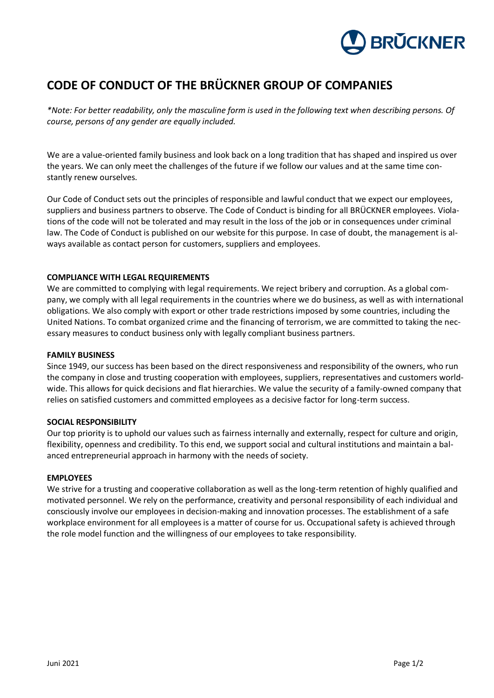

# **CODE OF CONDUCT OF THE BRÜCKNER GROUP OF COMPANIES**

*\*Note: For better readability, only the masculine form is used in the following text when describing persons. Of course, persons of any gender are equally included.*

We are a value-oriented family business and look back on a long tradition that has shaped and inspired us over the years. We can only meet the challenges of the future if we follow our values and at the same time constantly renew ourselves.

Our Code of Conduct sets out the principles of responsible and lawful conduct that we expect our employees, suppliers and business partners to observe. The Code of Conduct is binding for all BRÜCKNER employees. Violations of the code will not be tolerated and may result in the loss of the job or in consequences under criminal law. The Code of Conduct is published on our website for this purpose. In case of doubt, the management is always available as contact person for customers, suppliers and employees.

# **COMPLIANCE WITH LEGAL REQUIREMENTS**

We are committed to complying with legal requirements. We reject bribery and corruption. As a global company, we comply with all legal requirements in the countries where we do business, as well as with international obligations. We also comply with export or other trade restrictions imposed by some countries, including the United Nations. To combat organized crime and the financing of terrorism, we are committed to taking the necessary measures to conduct business only with legally compliant business partners.

#### **FAMILY BUSINESS**

Since 1949, our success has been based on the direct responsiveness and responsibility of the owners, who run the company in close and trusting cooperation with employees, suppliers, representatives and customers worldwide. This allows for quick decisions and flat hierarchies. We value the security of a family-owned company that relies on satisfied customers and committed employees as a decisive factor for long-term success.

#### **SOCIAL RESPONSIBILITY**

Our top priority is to uphold our values such as fairness internally and externally, respect for culture and origin, flexibility, openness and credibility. To this end, we support social and cultural institutions and maintain a balanced entrepreneurial approach in harmony with the needs of society.

#### **EMPLOYEES**

We strive for a trusting and cooperative collaboration as well as the long-term retention of highly qualified and motivated personnel. We rely on the performance, creativity and personal responsibility of each individual and consciously involve our employees in decision-making and innovation processes. The establishment of a safe workplace environment for all employees is a matter of course for us. Occupational safety is achieved through the role model function and the willingness of our employees to take responsibility.